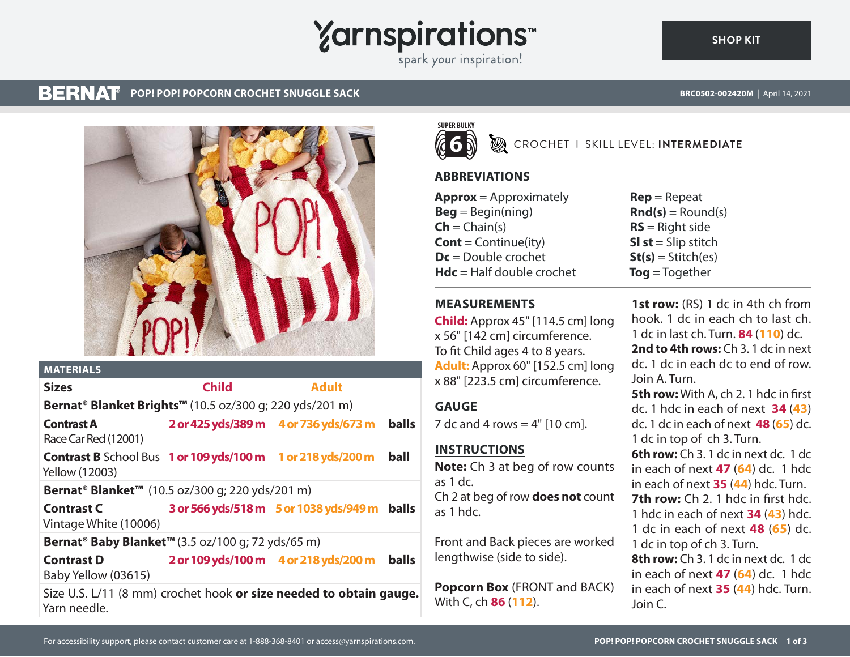

### **BERNAT POP! POP! POPCORN CROCHET SNUGGLE SACK BROOF CONSUMING THE CONSUMING STATE OF A PARTICLE SACT AND A POPENTY OF A PARTICLE SACK**

**[SHOP KIT](https://www.yarnspirations.com/BRC0502-002420M.html#utm_source=pdf-yarnspirations&utm_medium=referral)**



|                                                                              | <b>MATERIALS</b>                                                                     |              |                                        |              |
|------------------------------------------------------------------------------|--------------------------------------------------------------------------------------|--------------|----------------------------------------|--------------|
|                                                                              | <b>Sizes</b>                                                                         | <b>Child</b> | <b>Adult</b>                           |              |
|                                                                              | Bernat <sup>®</sup> Blanket Brights™ (10.5 oz/300 g; 220 yds/201 m)                  |              |                                        |              |
|                                                                              | <b>Contrast A</b><br>Race Car Red (12001)                                            |              | 2 or 425 yds/389 m 4 or 736 yds/673 m  | <b>balls</b> |
|                                                                              | <b>Contrast B</b> School Bus 1 or 109 yds/100 m 1 or 218 yds/200 m<br>Yellow (12003) |              |                                        | ball         |
| <b>Bernat<sup>®</sup> Blanket<sup>™</sup></b> (10.5 oz/300 g; 220 yds/201 m) |                                                                                      |              |                                        |              |
|                                                                              | <b>Contrast C</b><br>Vintage White (10006)                                           |              | 3 or 566 yds/518 m 5 or 1038 yds/949 m | <b>balls</b> |
| Bernat <sup>®</sup> Baby Blanket <sup>™</sup> (3.5 oz/100 g; 72 yds/65 m)    |                                                                                      |              |                                        |              |
|                                                                              | <b>Contrast D</b><br>Baby Yellow (03615)                                             |              | 2 or 109 yds/100 m 4 or 218 yds/200 m  | <b>balls</b> |
|                                                                              | Size U.S. L/11 (8 mm) crochet hook or size needed to obtain gauge.<br>Yarn needle.   |              |                                        |              |



CROCHET I SKILL LEVEL: **INTERMEDIATE**

# **ABBREVIATIONS**

| <b>Approx</b> = Approximately     |  |  |
|-----------------------------------|--|--|
| $\text{Beg} = \text{Begin}(ning)$ |  |  |
| $\mathsf{Ch} = \mathsf{Chain}(s)$ |  |  |
| <b>Cont</b> = Continue(ity)       |  |  |
| $Dc = Double crochet$             |  |  |
| $Hdc = Half double crochet$       |  |  |

**Rep** = Repeat  $\mathbf{Rnd}(s) = \text{Round}(s)$ **RS** = Right side **Sl st** = Slip stitch  $St(s) = Stitch(es)$ **Tog** = Together

**MEASUREMENTS**

**Child:** Approx 45" [114.5 cm] long x 56" [142 cm] circumference. To fit Child ages 4 to 8 years. **Adult:** Approx 60" [152.5 cm] long x 88" [223.5 cm] circumference.

## **GAUGE**

7 dc and 4 rows  $=$  4"  $[10 \text{ cm}]$ .

# **INSTRUCTIONS**

**Note:** Ch 3 at beg of row counts as 1 dc. Ch 2 at beg of row **does not** count as 1 hdc.

Front and Back pieces are worked lengthwise (side to side).

**Popcorn Box** (FRONT and BACK) With C, ch **86** (**112**).

**1st row:** (RS) 1 dc in 4th ch from hook. 1 dc in each ch to last ch. 1 dc in last ch. Turn. **84** (**110**) dc. **2nd to 4th rows:** Ch 3. 1 dc in next dc. 1 dc in each dc to end of row. Join A. Turn. **5th row:** With A, ch 2. 1 hdc in first dc. 1 hdc in each of next **34** (**43**) dc. 1 dc in each of next **48** (**65**) dc. 1 dc in top of ch 3. Turn. **6th row:** Ch 3. 1 dc in next dc. 1 dc in each of next **47** (**64**) dc. 1 hdc in each of next **35** (**44**) hdc. Turn. **7th row:** Ch 2. 1 hdc in first hdc. 1 hdc in each of next **34** (**43**) hdc. 1 dc in each of next **48** (**65**) dc. 1 dc in top of ch 3. Turn. **8th row:** Ch 3. 1 dc in next dc. 1 dc in each of next **47** (**64**) dc. 1 hdc in each of next **35** (**44**) hdc. Turn.

Join C.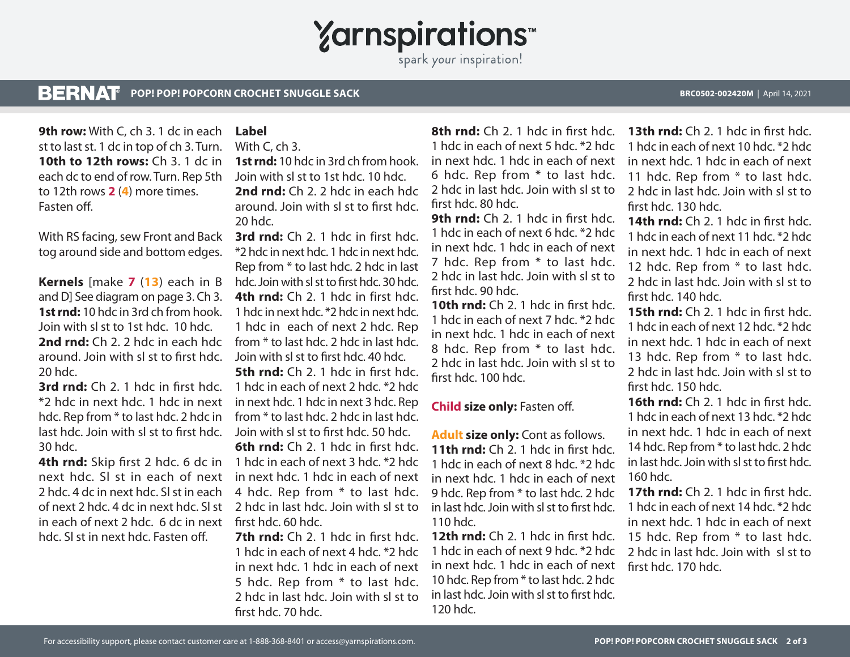**Yarnspirations** spark your inspiration!

#### **BERNAT POP! POP! POPCORN CROCHET SNUGGLE SACK BRC0502-002420M** | April 14, 2021

**9th row:** With C, ch 3. 1 dc in each st to last st. 1 dc in top of ch 3. Turn. **10th to 12th rows:** Ch 3. 1 dc in each dc to end of row. Turn. Rep 5th to 12th rows **2** (**4**) more times. Fasten off.

With RS facing, sew Front and Back tog around side and bottom edges.

**Kernels** [make **7** (**13**) each in B andD] See diagram on page 3. Ch 3. **1st rnd:** 10 hdc in 3rd ch from hook. Join with sl st to 1st hdc. 10 hdc. **2nd rnd:** Ch 2. 2 hdc in each hdc around. Join with sl st to first hdc. 20 hdc.

**3rd rnd:** Ch 2. 1 hdc in first hdc. \*2 hdc in next hdc. 1 hdc in next hdc. Rep from \* to last hdc. 2 hdc in last hdc. Join with sl st to first hdc. 30 hdc.

next hdc. Sl st in each of next 2 hdc. 4 dc in next hdc. Sl st in each of next 2 hdc. 4 dc in next hdc. Sl st in each of next 2 hdc. 6 dc in next hdc. Sl st in next hdc. Fasten off.

# **Label**

With C, ch 3.

**1st rnd:** 10 hdc in 3rd ch from hook. Join with sl st to 1st hdc. 10 hdc. **2nd rnd:** Ch 2. 2 hdc in each hdc around. Join with sl st to first hdc. 20 hdc.

**3rd rnd:** Ch 2. 1 hdc in first hdc. \*2 hdc in next hdc. 1 hdc in next hdc. Rep from \* to last hdc. 2 hdc in last hdc. Join with sl st to first hdc. 30 hdc. **4th rnd:** Ch 2. 1 hdc in first hdc. 1 hdc in next hdc. \*2 hdc in next hdc. 1 hdc in each of next 2 hdc. Rep from \* to last hdc. 2 hdc in last hdc. Join with sl st to first hdc. 40 hdc.

**5th rnd:** Ch 2. 1 hdc in first hdc. 1 hdc in each of next 2 hdc. \*2 hdc in next hdc. 1 hdc in next 3 hdc. Rep from \* to last hdc. 2 hdc in last hdc. Join with sl st to first hdc. 50 hdc.

**4th rnd:** Skip first 2 hdc. 6 dc in 1 hdc in each of next 3 hdc. \*2 hdc **6th rnd:** Ch 2. 1 hdc in first hdc. in next hdc. 1 hdc in each of next 4 hdc. Rep from \* to last hdc. 2 hdc in last hdc. Join with sl st to first hdc. 60 hdc.

> **7th rnd:** Ch 2. 1 hdc in first hdc. 1 hdc in each of next 4 hdc. \*2 hdc in next hdc. 1 hdc in each of next 5 hdc. Rep from \* to last hdc. 2 hdc in last hdc. Join with sl st to first hdc. 70 hdc.

**8th rnd:** Ch 2. 1 hdc in first hdc. 1 hdc in each of next 5 hdc. \*2 hdc in next hdc. 1 hdc in each of next 6 hdc. Rep from \* to last hdc. 2 hdc in last hdc. Join with sl st to first hdc. 80 hdc.

**9th rnd:** Ch 2. 1 hdc in first hdc. 1 hdc in each of next 6 hdc. \*2 hdc in next hdc. 1 hdc in each of next 7 hdc. Rep from \* to last hdc. 2 hdc in last hdc. Join with sl st to first hdc. 90 hdc.

**10th rnd:** Ch 2. 1 hdc in first hdc. 1 hdc in each of next 7 hdc. \*2 hdc in next hdc. 1 hdc in each of next 8 hdc. Rep from \* to last hdc. 2 hdc in last hdc. Join with sl st to first hdc. 100 hdc.

## **Child size only:** Fasten off.

**Adult size only:** Cont as follows. **11th rnd:** Ch 2. 1 hdc in first hdc. 1 hdc in each of next 8 hdc. \*2 hdc in next hdc. 1 hdc in each of next 9 hdc. Rep from \* to last hdc. 2 hdc in last hdc. Join with sl st to first hdc. 110 hdc.

**12th rnd:** Ch 2. 1 hdc in first hdc. 1 hdc in each of next 9 hdc. \*2 hdc in next hdc. 1 hdc in each of next first hdc. 170 hdc.10 hdc. Rep from \* to last hdc. 2 hdc in last hdc. Join with sl st to first hdc. 120 hdc.

**13th rnd:** Ch 2. 1 hdc in first hdc. 1 hdc in each of next 10 hdc. \*2 hdc in next hdc. 1 hdc in each of next 11 hdc. Rep from \* to last hdc. 2 hdc in last hdc. Join with sl st to first hdc. 130 hdc.

**14th rnd:** Ch 2. 1 hdc in first hdc. 1 hdc in each of next 11 hdc. \*2 hdc in next hdc. 1 hdc in each of next 12 hdc. Rep from \* to last hdc. 2 hdc in last hdc. Join with sl st to first hdc. 140 hdc.

**15th rnd:** Ch 2. 1 hdc in first hdc. 1 hdc in each of next 12 hdc. \*2 hdc in next hdc. 1 hdc in each of next 13 hdc. Rep from \* to last hdc. 2 hdc in last hdc. Join with sl st to first hdc. 150 hdc.

**16th rnd:** Ch 2. 1 hdc in first hdc. 1 hdc in each of next 13 hdc. \*2 hdc in next hdc. 1 hdc in each of next 14 hdc. Rep from \* to last hdc. 2 hdc in last hdc. Join with sl st to first hdc. 160 hdc.

**17th rnd:** Ch 2. 1 hdc in first hdc. 1 hdc in each of next 14 hdc. \*2 hdc in next hdc. 1 hdc in each of next 15 hdc. Rep from \* to last hdc. 2 hdc in last hdc. Join with sl st to